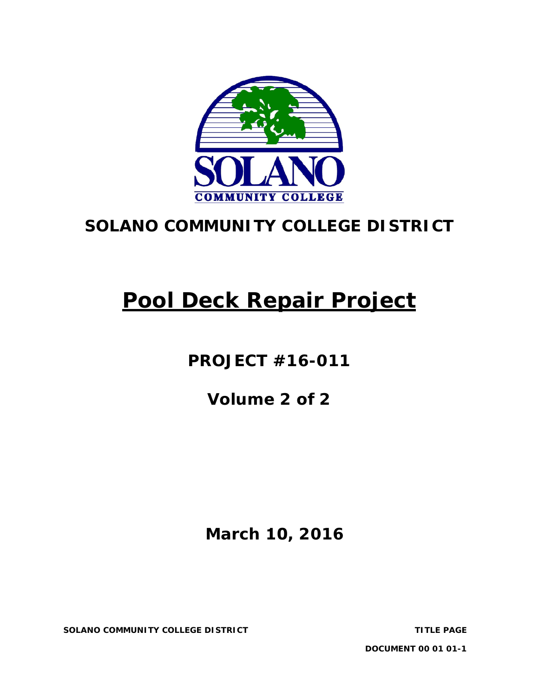

# **SOLANO COMMUNITY COLLEGE DISTRICT**

# **Pool Deck Repair Project**

**PROJECT #16-011** 

**Volume 2 of 2**

# **March 10, 2016**

**SOLANO COMMUNITY COLLEGE DISTRICT TITLE PAGE**

**DOCUMENT 00 01 01-1**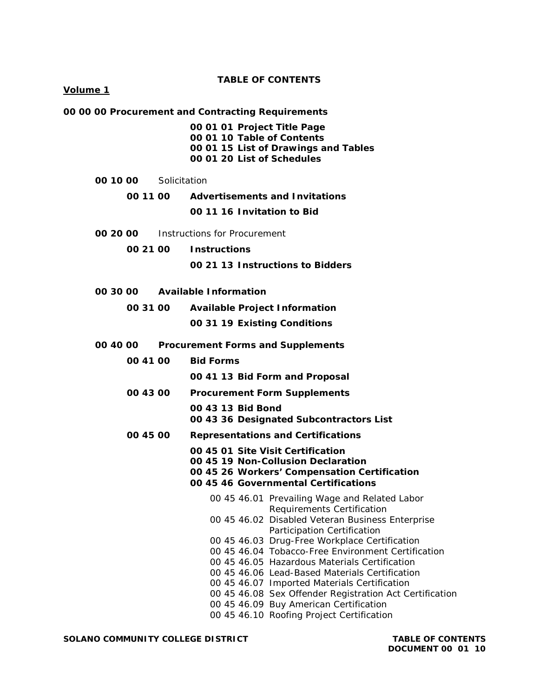#### **TABLE OF CONTENTS**

#### **Volume 1**

|  | 00 00 00 Procurement and Contracting Requirements |  |  |
|--|---------------------------------------------------|--|--|
|  |                                                   |  |  |

**00 01 01 Project Title Page 00 01 10 Table of Contents 00 01 15 List of Drawings and Tables 00 01 20 List of Schedules**

| 00 10 00 | Solicitation |                                       |
|----------|--------------|---------------------------------------|
| 00 11 00 |              | <b>Advertisements and Invitations</b> |

**00 11 16 Invitation to Bid**

- **00 20 00** Instructions for Procurement
	- **00 21 00 Instructions 00 21 13 Instructions to Bidders**
- **00 30 00 Available Information**
	- **00 31 00 Available Project Information 00 31 19 Existing Conditions**
- **00 40 00 Procurement Forms and Supplements**
	- **00 41 00 Bid Forms**
		- **00 41 13 Bid Form and Proposal**
	- **00 43 00 Procurement Form Supplements**

**00 43 13 Bid Bond 00 43 36 Designated Subcontractors List**

- **00 45 00 Representations and Certifications**
	- **00 45 01 Site Visit Certification**
	- **00 45 19 Non-Collusion Declaration**
	- **00 45 26 Workers' Compensation Certification**
	- **00 45 46 Governmental Certifications**
		- 00 45 46.01 Prevailing Wage and Related Labor Requirements Certification 00 45 46.02 Disabled Veteran Business Enterprise Participation Certification 00 45 46.03 Drug-Free Workplace Certification 00 45 46.04 Tobacco-Free Environment Certification 00 45 46.05 Hazardous Materials Certification 00 45 46.06 Lead-Based Materials Certification 00 45 46.07 Imported Materials Certification 00 45 46.08 Sex Offender Registration Act Certification 00 45 46.09 Buy American Certification
			- 00 45 46.10 Roofing Project Certification

**SOLANO COMMUNITY COLLEGE DISTRICT TABLE OF CONTENTS**

**DOCUMENT 00 01 10**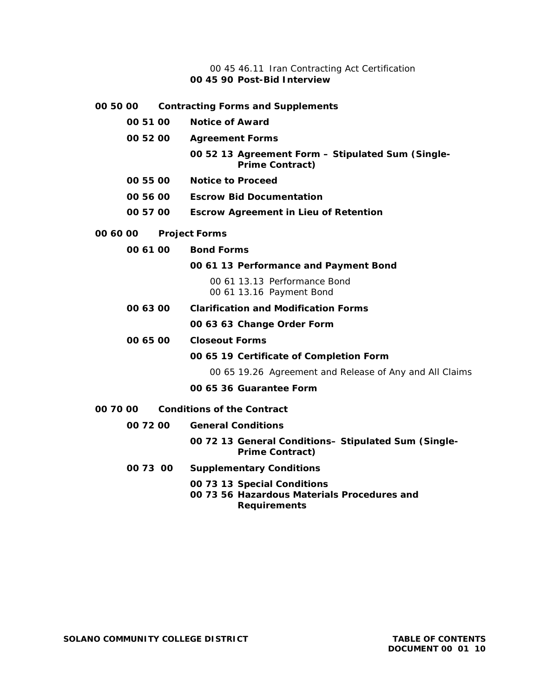#### 00 45 46.11 Iran Contracting Act Certification **00 45 90 Post-Bid Interview**

**00 50 00 Contracting Forms and Supplements 00 51 00 Notice of Award 00 52 00 Agreement Forms 00 52 13 Agreement Form – Stipulated Sum (Single-Prime Contract) 00 55 00 Notice to Proceed 00 56 00 Escrow Bid Documentation 00 57 00 Escrow Agreement in Lieu of Retention 00 60 00 Project Forms 00 61 00 Bond Forms 00 61 13 Performance and Payment Bond**  00 61 13.13 Performance Bond 00 61 13.16 Payment Bond **00 63 00 Clarification and Modification Forms 00 63 63 Change Order Form 00 65 00 Closeout Forms 00 65 19 Certificate of Completion Form** 00 65 19.26 Agreement and Release of Any and All Claims **00 65 36 Guarantee Form 00 70 00 Conditions of the Contract 00 72 00 General Conditions 00 72 13 General Conditions– Stipulated Sum (Single-Prime Contract) 00 73 00 Supplementary Conditions 00 73 13 Special Conditions 00 73 56 Hazardous Materials Procedures and** 

**Requirements**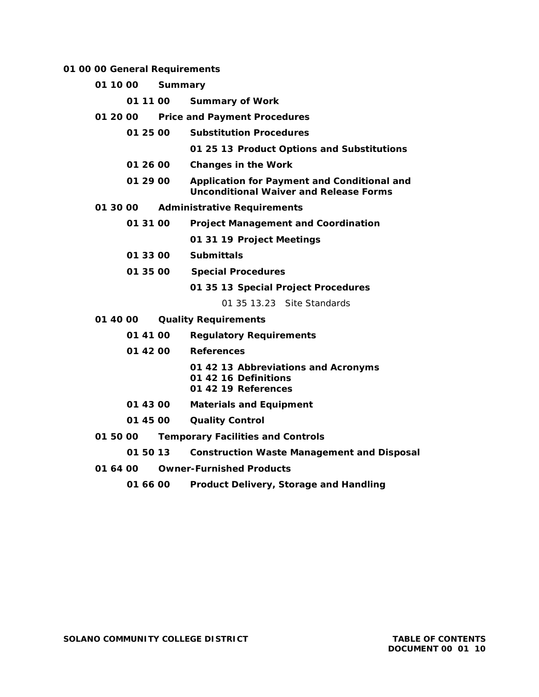#### **01 00 00 General Requirements**

- **01 10 00 Summary**
	- **01 11 00 Summary of Work**
- **01 20 00 Price and Payment Procedures**
	- **01 25 00 Substitution Procedures**

**01 25 13 Product Options and Substitutions**

- **01 26 00 Changes in the Work**
- **01 29 00 Application for Payment and Conditional and Unconditional Waiver and Release Forms**
- **01 30 00 Administrative Requirements**
	- **01 31 00 Project Management and Coordination 01 31 19 Project Meetings**
	- **01 33 00 Submittals**
	- **01 35 00 Special Procedures**

**01 35 13 Special Project Procedures**

01 35 13.23 Site Standards

- **01 40 00 Quality Requirements**
	- **01 41 00 Regulatory Requirements**
	- **01 42 00 References**
		- **01 42 13 Abbreviations and Acronyms 01 42 16 Definitions**
		- **01 42 19 References**
	- **01 43 00 Materials and Equipment**
	- **01 45 00 Quality Control**
- **01 50 00 Temporary Facilities and Controls**
	- **01 50 13 Construction Waste Management and Disposal**
- **01 64 00 Owner-Furnished Products**
	- **01 66 00 Product Delivery, Storage and Handling**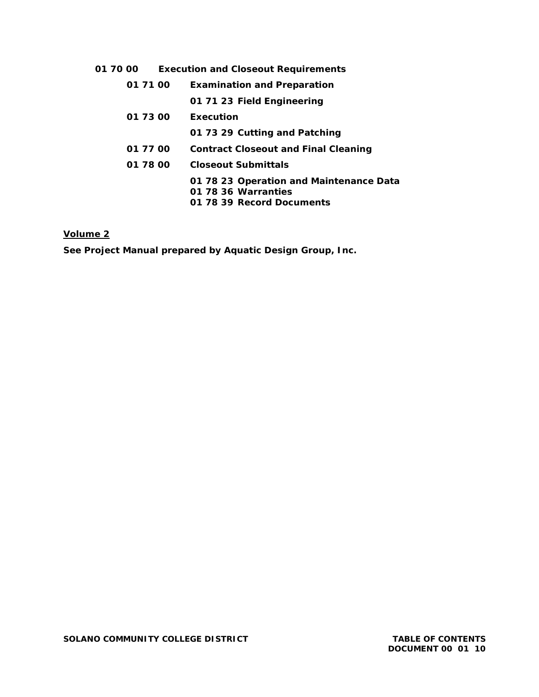| 01 71 00 | <b>Examination and Preparation</b>                                                          |  |  |
|----------|---------------------------------------------------------------------------------------------|--|--|
|          | 01 71 23 Field Engineering                                                                  |  |  |
| 01 73 00 | Execution                                                                                   |  |  |
|          | 01 73 29 Cutting and Patching                                                               |  |  |
| 01 77 00 | <b>Contract Closeout and Final Cleaning</b>                                                 |  |  |
| 01 78 00 | <b>Closeout Submittals</b>                                                                  |  |  |
|          | 01 78 23 Operation and Maintenance Data<br>01 78 36 Warranties<br>01 78 39 Record Documents |  |  |

# **Volume 2**

**See Project Manual prepared by Aquatic Design Group, Inc.**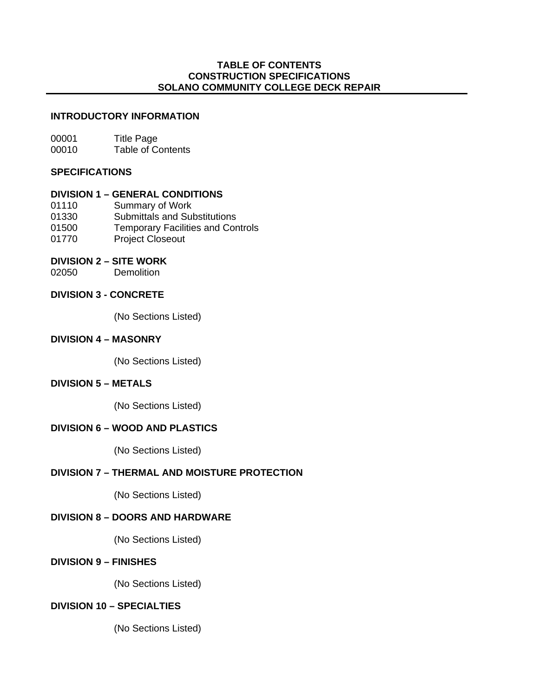# **TABLE OF CONTENTS CONSTRUCTION SPECIFICATIONS SOLANO COMMUNITY COLLEGE DECK REPAIR**

# **INTRODUCTORY INFORMATION**

00001 Title Page 00010 Table of Contents

### **SPECIFICATIONS**

# **DIVISION 1 – GENERAL CONDITIONS**

- 01110 Summary of Work
- 01330 Submittals and Substitutions
- 01500 Temporary Facilities and Controls
- 01770 Project Closeout

# **DIVISION 2 – SITE WORK**

02050 Demolition

# **DIVISION 3 - CONCRETE**

(No Sections Listed)

# **DIVISION 4 – MASONRY**

(No Sections Listed)

# **DIVISION 5 – METALS**

(No Sections Listed)

# **DIVISION 6 – WOOD AND PLASTICS**

(No Sections Listed)

# **DIVISION 7 – THERMAL AND MOISTURE PROTECTION**

(No Sections Listed)

# **DIVISION 8 – DOORS AND HARDWARE**

(No Sections Listed)

# **DIVISION 9 – FINISHES**

(No Sections Listed)

# **DIVISION 10 – SPECIALTIES**

(No Sections Listed)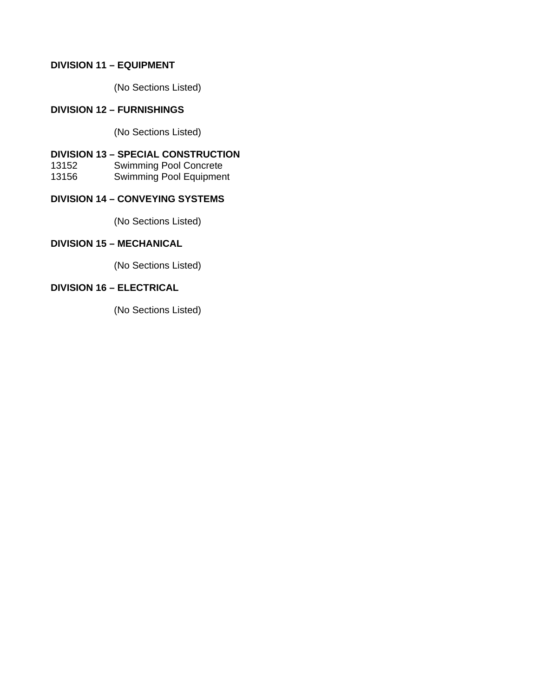# **DIVISION 11 – EQUIPMENT**

(No Sections Listed)

# **DIVISION 12 – FURNISHINGS**

(No Sections Listed)

# **DIVISION 13 – SPECIAL CONSTRUCTION**

13152 Swimming Pool Concrete

13156 Swimming Pool Equipment

# **DIVISION 14 – CONVEYING SYSTEMS**

(No Sections Listed)

# **DIVISION 15 – MECHANICAL**

(No Sections Listed)

# **DIVISION 16 – ELECTRICAL**

(No Sections Listed)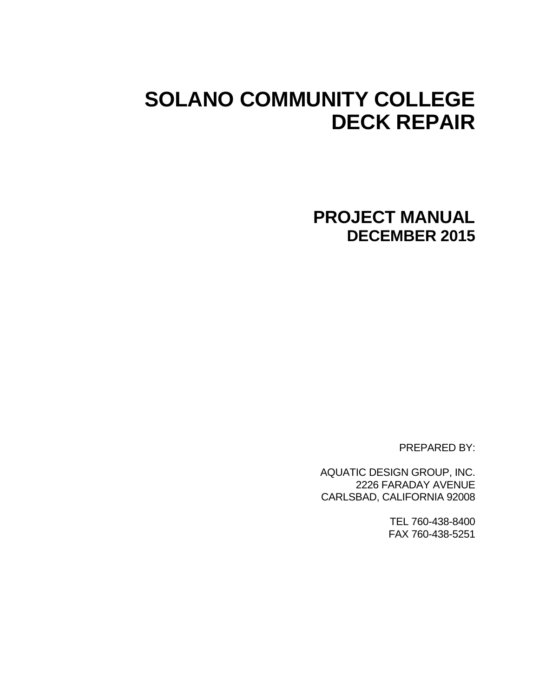# **SOLANO COMMUNITY COLLEGE DECK REPAIR**

**PROJECT MANUAL DECEMBER 2015** 

PREPARED BY:

AQUATIC DESIGN GROUP, INC. 2226 FARADAY AVENUE CARLSBAD, CALIFORNIA 92008

> TEL 760-438-8400 FAX 760-438-5251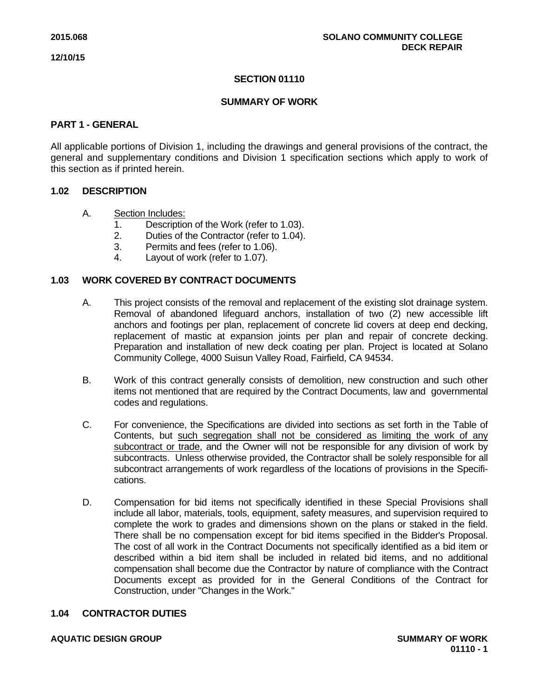# **SECTION 01110**

# **SUMMARY OF WORK**

### **PART 1 - GENERAL**

All applicable portions of Division 1, including the drawings and general provisions of the contract, the general and supplementary conditions and Division 1 specification sections which apply to work of this section as if printed herein.

# **1.02 DESCRIPTION**

- A. Section Includes:
	- 1. Description of the Work (refer to 1.03).
	- 2. Duties of the Contractor (refer to 1.04).
	- 3. Permits and fees (refer to 1.06).
	- 4. Layout of work (refer to 1.07).

# **1.03 WORK COVERED BY CONTRACT DOCUMENTS**

- A. This project consists of the removal and replacement of the existing slot drainage system. Removal of abandoned lifeguard anchors, installation of two (2) new accessible lift anchors and footings per plan, replacement of concrete lid covers at deep end decking, replacement of mastic at expansion joints per plan and repair of concrete decking. Preparation and installation of new deck coating per plan. Project is located at Solano Community College, 4000 Suisun Valley Road, Fairfield, CA 94534.
- B. Work of this contract generally consists of demolition, new construction and such other items not mentioned that are required by the Contract Documents, law and governmental codes and regulations.
- C. For convenience, the Specifications are divided into sections as set forth in the Table of Contents, but such segregation shall not be considered as limiting the work of any subcontract or trade, and the Owner will not be responsible for any division of work by subcontracts. Unless otherwise provided, the Contractor shall be solely responsible for all subcontract arrangements of work regardless of the locations of provisions in the Specifications.
- D. Compensation for bid items not specifically identified in these Special Provisions shall include all labor, materials, tools, equipment, safety measures, and supervision required to complete the work to grades and dimensions shown on the plans or staked in the field. There shall be no compensation except for bid items specified in the Bidder's Proposal. The cost of all work in the Contract Documents not specifically identified as a bid item or described within a bid item shall be included in related bid items, and no additional compensation shall become due the Contractor by nature of compliance with the Contract Documents except as provided for in the General Conditions of the Contract for Construction, under "Changes in the Work."

#### **1.04 CONTRACTOR DUTIES**

#### **AQUATIC DESIGN GROUP SUMMARY OF WORK**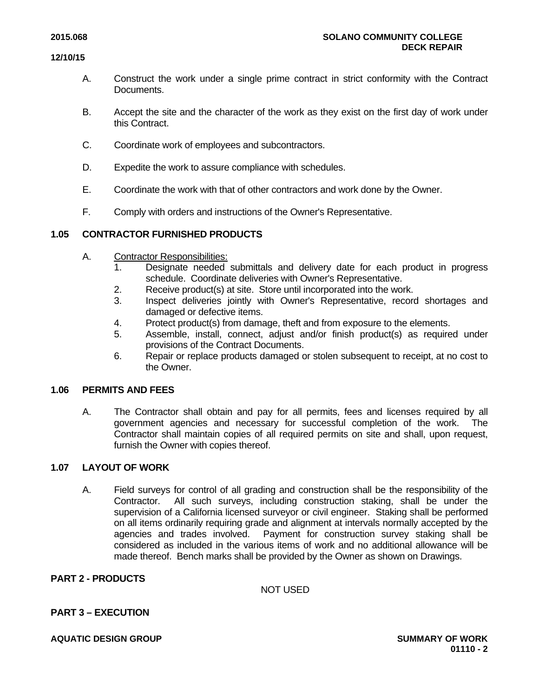- A. Construct the work under a single prime contract in strict conformity with the Contract Documents.
- B. Accept the site and the character of the work as they exist on the first day of work under this Contract.
- C. Coordinate work of employees and subcontractors.
- D. Expedite the work to assure compliance with schedules.
- E. Coordinate the work with that of other contractors and work done by the Owner.
- F. Comply with orders and instructions of the Owner's Representative.

# **1.05 CONTRACTOR FURNISHED PRODUCTS**

- A. Contractor Responsibilities:
	- 1. Designate needed submittals and delivery date for each product in progress schedule. Coordinate deliveries with Owner's Representative.
	- 2. Receive product(s) at site. Store until incorporated into the work.
	- 3. Inspect deliveries jointly with Owner's Representative, record shortages and damaged or defective items.
	- 4. Protect product(s) from damage, theft and from exposure to the elements.
	- 5. Assemble, install, connect, adjust and/or finish product(s) as required under provisions of the Contract Documents.
	- 6. Repair or replace products damaged or stolen subsequent to receipt, at no cost to the Owner.

#### **1.06 PERMITS AND FEES**

A. The Contractor shall obtain and pay for all permits, fees and licenses required by all government agencies and necessary for successful completion of the work. The Contractor shall maintain copies of all required permits on site and shall, upon request, furnish the Owner with copies thereof.

#### **1.07 LAYOUT OF WORK**

A. Field surveys for control of all grading and construction shall be the responsibility of the Contractor. All such surveys, including construction staking, shall be under the supervision of a California licensed surveyor or civil engineer. Staking shall be performed on all items ordinarily requiring grade and alignment at intervals normally accepted by the agencies and trades involved. Payment for construction survey staking shall be considered as included in the various items of work and no additional allowance will be made thereof. Bench marks shall be provided by the Owner as shown on Drawings.

#### **PART 2 - PRODUCTS**

NOT USED

# **PART 3 – EXECUTION**

**AQUATIC DESIGN GROUP SUMMARY OF WORK**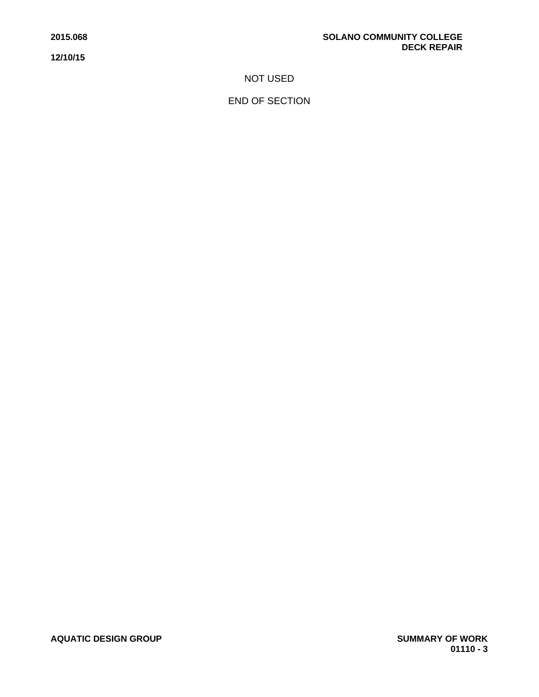NOT USED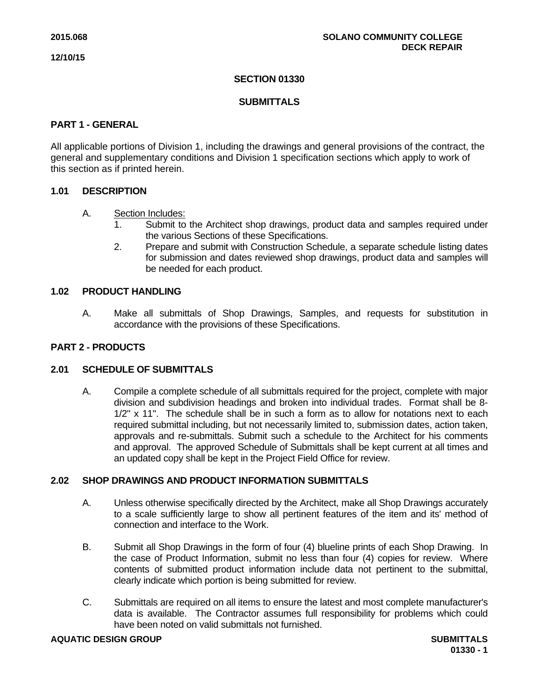# **SECTION 01330**

# **SUBMITTALS**

# **PART 1 - GENERAL**

All applicable portions of Division 1, including the drawings and general provisions of the contract, the general and supplementary conditions and Division 1 specification sections which apply to work of this section as if printed herein.

# **1.01 DESCRIPTION**

# A. Section Includes:

- 1. Submit to the Architect shop drawings, product data and samples required under the various Sections of these Specifications.
- 2. Prepare and submit with Construction Schedule, a separate schedule listing dates for submission and dates reviewed shop drawings, product data and samples will be needed for each product.

# **1.02 PRODUCT HANDLING**

A. Make all submittals of Shop Drawings, Samples, and requests for substitution in accordance with the provisions of these Specifications.

# **PART 2 - PRODUCTS**

# **2.01 SCHEDULE OF SUBMITTALS**

A. Compile a complete schedule of all submittals required for the project, complete with major division and subdivision headings and broken into individual trades. Format shall be 8- 1/2" x 11". The schedule shall be in such a form as to allow for notations next to each required submittal including, but not necessarily limited to, submission dates, action taken, approvals and re-submittals. Submit such a schedule to the Architect for his comments and approval. The approved Schedule of Submittals shall be kept current at all times and an updated copy shall be kept in the Project Field Office for review.

### **2.02 SHOP DRAWINGS AND PRODUCT INFORMATION SUBMITTALS**

- A. Unless otherwise specifically directed by the Architect, make all Shop Drawings accurately to a scale sufficiently large to show all pertinent features of the item and its' method of connection and interface to the Work.
- B. Submit all Shop Drawings in the form of four (4) blueline prints of each Shop Drawing. In the case of Product Information, submit no less than four (4) copies for review. Where contents of submitted product information include data not pertinent to the submittal, clearly indicate which portion is being submitted for review.
- C. Submittals are required on all items to ensure the latest and most complete manufacturer's data is available. The Contractor assumes full responsibility for problems which could have been noted on valid submittals not furnished.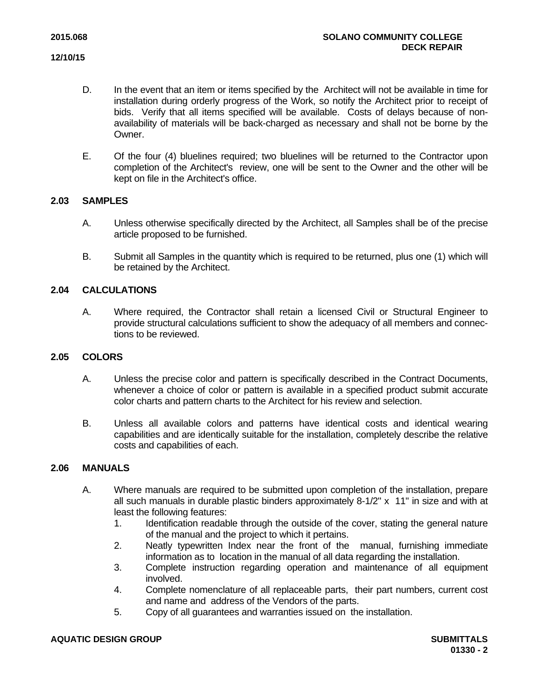- D. In the event that an item or items specified by the Architect will not be available in time for installation during orderly progress of the Work, so notify the Architect prior to receipt of bids. Verify that all items specified will be available. Costs of delays because of nonavailability of materials will be back-charged as necessary and shall not be borne by the Owner.
- E. Of the four (4) bluelines required; two bluelines will be returned to the Contractor upon completion of the Architect's review, one will be sent to the Owner and the other will be kept on file in the Architect's office.

# **2.03 SAMPLES**

- A. Unless otherwise specifically directed by the Architect, all Samples shall be of the precise article proposed to be furnished.
- B. Submit all Samples in the quantity which is required to be returned, plus one (1) which will be retained by the Architect.

# **2.04 CALCULATIONS**

A. Where required, the Contractor shall retain a licensed Civil or Structural Engineer to provide structural calculations sufficient to show the adequacy of all members and connections to be reviewed.

#### **2.05 COLORS**

- A. Unless the precise color and pattern is specifically described in the Contract Documents, whenever a choice of color or pattern is available in a specified product submit accurate color charts and pattern charts to the Architect for his review and selection.
- B. Unless all available colors and patterns have identical costs and identical wearing capabilities and are identically suitable for the installation, completely describe the relative costs and capabilities of each.

#### **2.06 MANUALS**

- A. Where manuals are required to be submitted upon completion of the installation, prepare all such manuals in durable plastic binders approximately 8-1/2" x 11" in size and with at least the following features:
	- 1. Identification readable through the outside of the cover, stating the general nature of the manual and the project to which it pertains.
	- 2. Neatly typewritten Index near the front of the manual, furnishing immediate information as to location in the manual of all data regarding the installation.
	- 3. Complete instruction regarding operation and maintenance of all equipment involved.
	- 4. Complete nomenclature of all replaceable parts, their part numbers, current cost and name and address of the Vendors of the parts.
	- 5. Copy of all guarantees and warranties issued on the installation.

#### **AQUATIC DESIGN GROUP SUBMITTALS**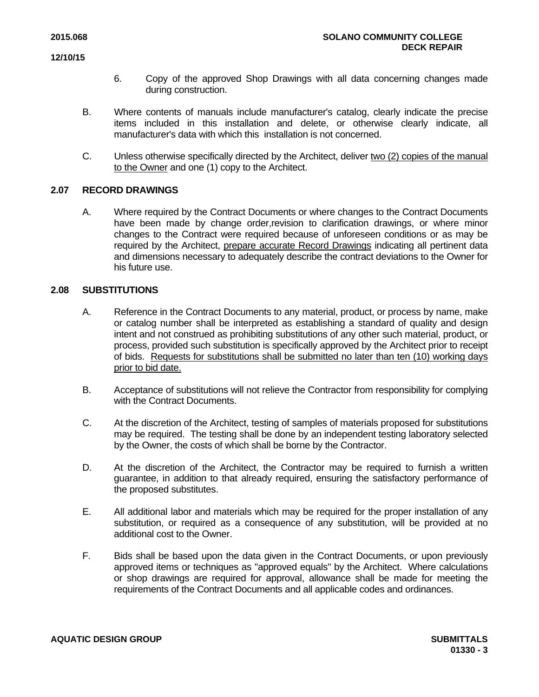- 6. Copy of the approved Shop Drawings with all data concerning changes made during construction.
- B. Where contents of manuals include manufacturer's catalog, clearly indicate the precise items included in this installation and delete, or otherwise clearly indicate, all manufacturer's data with which this installation is not concerned.
- C. Unless otherwise specifically directed by the Architect, deliver two (2) copies of the manual to the Owner and one (1) copy to the Architect.

# **2.07 RECORD DRAWINGS**

A. Where required by the Contract Documents or where changes to the Contract Documents have been made by change order,revision to clarification drawings, or where minor changes to the Contract were required because of unforeseen conditions or as may be required by the Architect, prepare accurate Record Drawings indicating all pertinent data and dimensions necessary to adequately describe the contract deviations to the Owner for his future use.

# **2.08 SUBSTITUTIONS**

- A. Reference in the Contract Documents to any material, product, or process by name, make or catalog number shall be interpreted as establishing a standard of quality and design intent and not construed as prohibiting substitutions of any other such material, product, or process, provided such substitution is specifically approved by the Architect prior to receipt of bids. Requests for substitutions shall be submitted no later than ten (10) working days prior to bid date.
- B. Acceptance of substitutions will not relieve the Contractor from responsibility for complying with the Contract Documents.
- C. At the discretion of the Architect, testing of samples of materials proposed for substitutions may be required. The testing shall be done by an independent testing laboratory selected by the Owner, the costs of which shall be borne by the Contractor.
- D. At the discretion of the Architect, the Contractor may be required to furnish a written guarantee, in addition to that already required, ensuring the satisfactory performance of the proposed substitutes.
- E. All additional labor and materials which may be required for the proper installation of any substitution, or required as a consequence of any substitution, will be provided at no additional cost to the Owner.
- F. Bids shall be based upon the data given in the Contract Documents, or upon previously approved items or techniques as "approved equals" by the Architect. Where calculations or shop drawings are required for approval, allowance shall be made for meeting the requirements of the Contract Documents and all applicable codes and ordinances.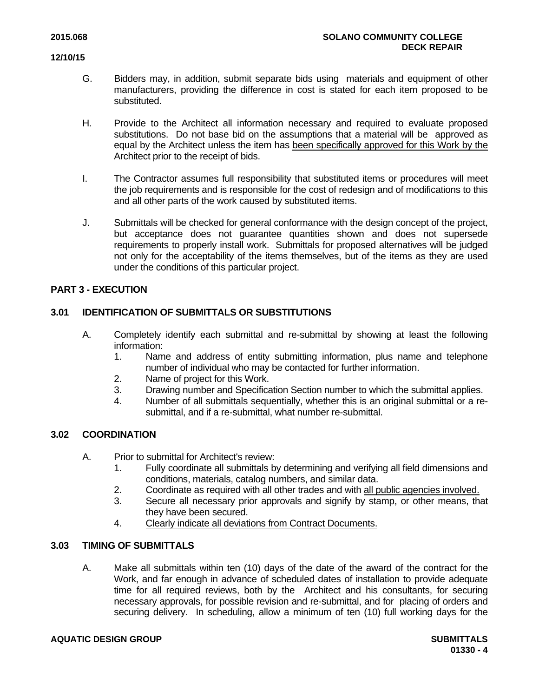- G. Bidders may, in addition, submit separate bids using materials and equipment of other manufacturers, providing the difference in cost is stated for each item proposed to be substituted.
- H. Provide to the Architect all information necessary and required to evaluate proposed substitutions. Do not base bid on the assumptions that a material will be approved as equal by the Architect unless the item has been specifically approved for this Work by the Architect prior to the receipt of bids.
- I. The Contractor assumes full responsibility that substituted items or procedures will meet the job requirements and is responsible for the cost of redesign and of modifications to this and all other parts of the work caused by substituted items.
- J. Submittals will be checked for general conformance with the design concept of the project, but acceptance does not guarantee quantities shown and does not supersede requirements to properly install work. Submittals for proposed alternatives will be judged not only for the acceptability of the items themselves, but of the items as they are used under the conditions of this particular project.

# **PART 3 - EXECUTION**

# **3.01 IDENTIFICATION OF SUBMITTALS OR SUBSTITUTIONS**

- A. Completely identify each submittal and re-submittal by showing at least the following information:
	- 1. Name and address of entity submitting information, plus name and telephone number of individual who may be contacted for further information.
	- 2. Name of project for this Work.
	- 3. Drawing number and Specification Section number to which the submittal applies.
	- 4. Number of all submittals sequentially, whether this is an original submittal or a resubmittal, and if a re-submittal, what number re-submittal.

# **3.02 COORDINATION**

- A. Prior to submittal for Architect's review:
	- 1. Fully coordinate all submittals by determining and verifying all field dimensions and conditions, materials, catalog numbers, and similar data.
	- 2. Coordinate as required with all other trades and with all public agencies involved.
	- 3. Secure all necessary prior approvals and signify by stamp, or other means, that they have been secured.
	- 4. Clearly indicate all deviations from Contract Documents.

### **3.03 TIMING OF SUBMITTALS**

A. Make all submittals within ten (10) days of the date of the award of the contract for the Work, and far enough in advance of scheduled dates of installation to provide adequate time for all required reviews, both by the Architect and his consultants, for securing necessary approvals, for possible revision and re-submittal, and for placing of orders and securing delivery. In scheduling, allow a minimum of ten (10) full working days for the

#### **AQUATIC DESIGN GROUP SUBMITTALS**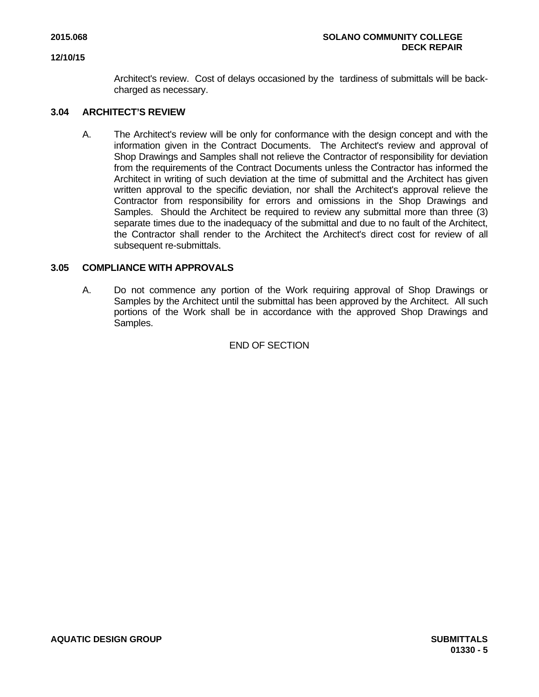Architect's review. Cost of delays occasioned by the tardiness of submittals will be backcharged as necessary.

### **3.04 ARCHITECT'S REVIEW**

A. The Architect's review will be only for conformance with the design concept and with the information given in the Contract Documents. The Architect's review and approval of Shop Drawings and Samples shall not relieve the Contractor of responsibility for deviation from the requirements of the Contract Documents unless the Contractor has informed the Architect in writing of such deviation at the time of submittal and the Architect has given written approval to the specific deviation, nor shall the Architect's approval relieve the Contractor from responsibility for errors and omissions in the Shop Drawings and Samples. Should the Architect be required to review any submittal more than three (3) separate times due to the inadequacy of the submittal and due to no fault of the Architect, the Contractor shall render to the Architect the Architect's direct cost for review of all subsequent re-submittals.

# **3.05 COMPLIANCE WITH APPROVALS**

A. Do not commence any portion of the Work requiring approval of Shop Drawings or Samples by the Architect until the submittal has been approved by the Architect. All such portions of the Work shall be in accordance with the approved Shop Drawings and Samples.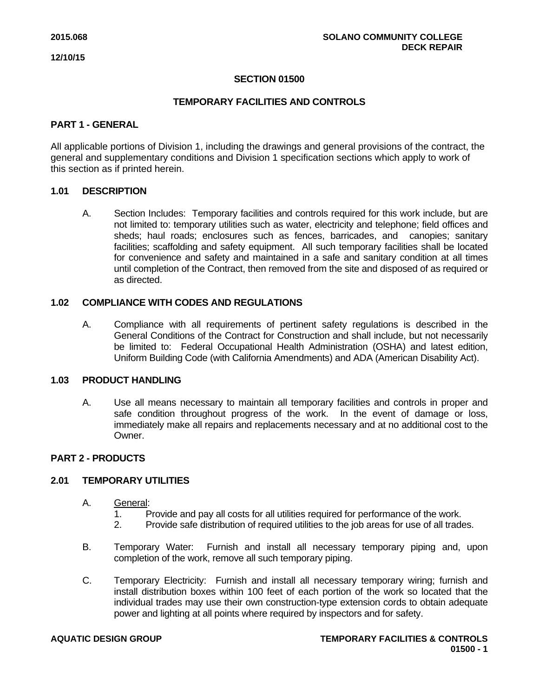# **SECTION 01500**

# **TEMPORARY FACILITIES AND CONTROLS**

#### **PART 1 - GENERAL**

All applicable portions of Division 1, including the drawings and general provisions of the contract, the general and supplementary conditions and Division 1 specification sections which apply to work of this section as if printed herein.

#### **1.01 DESCRIPTION**

A. Section Includes: Temporary facilities and controls required for this work include, but are not limited to: temporary utilities such as water, electricity and telephone; field offices and sheds; haul roads; enclosures such as fences, barricades, and canopies; sanitary facilities; scaffolding and safety equipment. All such temporary facilities shall be located for convenience and safety and maintained in a safe and sanitary condition at all times until completion of the Contract, then removed from the site and disposed of as required or as directed.

# **1.02 COMPLIANCE WITH CODES AND REGULATIONS**

A. Compliance with all requirements of pertinent safety regulations is described in the General Conditions of the Contract for Construction and shall include, but not necessarily be limited to: Federal Occupational Health Administration (OSHA) and latest edition, Uniform Building Code (with California Amendments) and ADA (American Disability Act).

#### **1.03 PRODUCT HANDLING**

A. Use all means necessary to maintain all temporary facilities and controls in proper and safe condition throughout progress of the work. In the event of damage or loss, immediately make all repairs and replacements necessary and at no additional cost to the Owner.

#### **PART 2 - PRODUCTS**

### **2.01 TEMPORARY UTILITIES**

- A. General:
	- 1. Provide and pay all costs for all utilities required for performance of the work.
	- 2. Provide safe distribution of required utilities to the job areas for use of all trades.
- B. Temporary Water: Furnish and install all necessary temporary piping and, upon completion of the work, remove all such temporary piping.
- C. Temporary Electricity: Furnish and install all necessary temporary wiring; furnish and install distribution boxes within 100 feet of each portion of the work so located that the individual trades may use their own construction-type extension cords to obtain adequate power and lighting at all points where required by inspectors and for safety.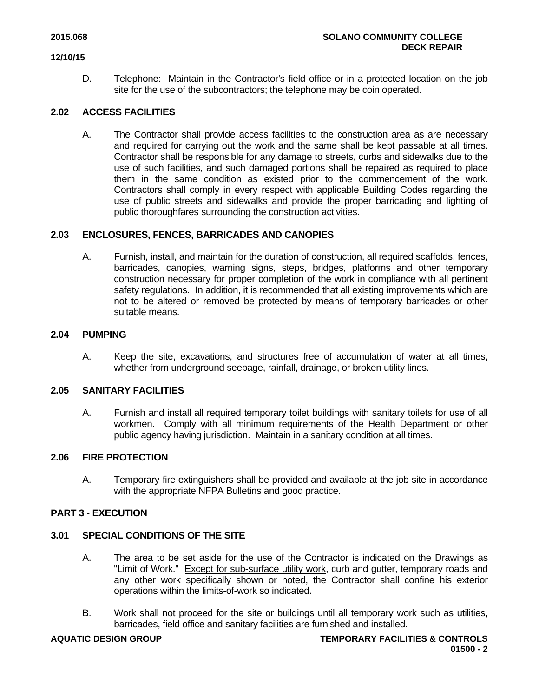D. Telephone: Maintain in the Contractor's field office or in a protected location on the job site for the use of the subcontractors; the telephone may be coin operated.

# **2.02 ACCESS FACILITIES**

A. The Contractor shall provide access facilities to the construction area as are necessary and required for carrying out the work and the same shall be kept passable at all times. Contractor shall be responsible for any damage to streets, curbs and sidewalks due to the use of such facilities, and such damaged portions shall be repaired as required to place them in the same condition as existed prior to the commencement of the work. Contractors shall comply in every respect with applicable Building Codes regarding the use of public streets and sidewalks and provide the proper barricading and lighting of public thoroughfares surrounding the construction activities.

# **2.03 ENCLOSURES, FENCES, BARRICADES AND CANOPIES**

A. Furnish, install, and maintain for the duration of construction, all required scaffolds, fences, barricades, canopies, warning signs, steps, bridges, platforms and other temporary construction necessary for proper completion of the work in compliance with all pertinent safety regulations. In addition, it is recommended that all existing improvements which are not to be altered or removed be protected by means of temporary barricades or other suitable means.

# **2.04 PUMPING**

A. Keep the site, excavations, and structures free of accumulation of water at all times, whether from underground seepage, rainfall, drainage, or broken utility lines.

#### **2.05 SANITARY FACILITIES**

A. Furnish and install all required temporary toilet buildings with sanitary toilets for use of all workmen. Comply with all minimum requirements of the Health Department or other public agency having jurisdiction. Maintain in a sanitary condition at all times.

# **2.06 FIRE PROTECTION**

A. Temporary fire extinguishers shall be provided and available at the job site in accordance with the appropriate NFPA Bulletins and good practice.

#### **PART 3 - EXECUTION**

#### **3.01 SPECIAL CONDITIONS OF THE SITE**

- A. The area to be set aside for the use of the Contractor is indicated on the Drawings as "Limit of Work." Except for sub-surface utility work, curb and gutter, temporary roads and any other work specifically shown or noted, the Contractor shall confine his exterior operations within the limits-of-work so indicated.
- B. Work shall not proceed for the site or buildings until all temporary work such as utilities, barricades, field office and sanitary facilities are furnished and installed.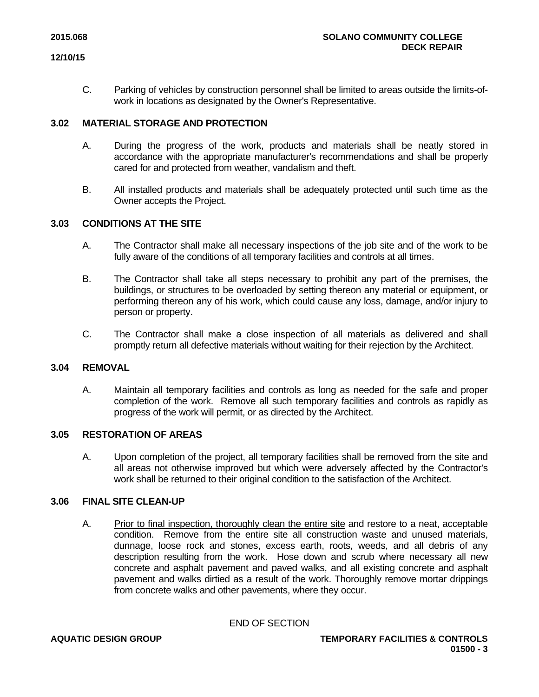C. Parking of vehicles by construction personnel shall be limited to areas outside the limits-ofwork in locations as designated by the Owner's Representative.

# **3.02 MATERIAL STORAGE AND PROTECTION**

- A. During the progress of the work, products and materials shall be neatly stored in accordance with the appropriate manufacturer's recommendations and shall be properly cared for and protected from weather, vandalism and theft.
- B. All installed products and materials shall be adequately protected until such time as the Owner accepts the Project.

# **3.03 CONDITIONS AT THE SITE**

- A. The Contractor shall make all necessary inspections of the job site and of the work to be fully aware of the conditions of all temporary facilities and controls at all times.
- B. The Contractor shall take all steps necessary to prohibit any part of the premises, the buildings, or structures to be overloaded by setting thereon any material or equipment, or performing thereon any of his work, which could cause any loss, damage, and/or injury to person or property.
- C. The Contractor shall make a close inspection of all materials as delivered and shall promptly return all defective materials without waiting for their rejection by the Architect.

### **3.04 REMOVAL**

A. Maintain all temporary facilities and controls as long as needed for the safe and proper completion of the work. Remove all such temporary facilities and controls as rapidly as progress of the work will permit, or as directed by the Architect.

### **3.05 RESTORATION OF AREAS**

A. Upon completion of the project, all temporary facilities shall be removed from the site and all areas not otherwise improved but which were adversely affected by the Contractor's work shall be returned to their original condition to the satisfaction of the Architect.

# **3.06 FINAL SITE CLEAN-UP**

A. Prior to final inspection, thoroughly clean the entire site and restore to a neat, acceptable condition. Remove from the entire site all construction waste and unused materials, dunnage, loose rock and stones, excess earth, roots, weeds, and all debris of any description resulting from the work. Hose down and scrub where necessary all new concrete and asphalt pavement and paved walks, and all existing concrete and asphalt pavement and walks dirtied as a result of the work. Thoroughly remove mortar drippings from concrete walks and other pavements, where they occur.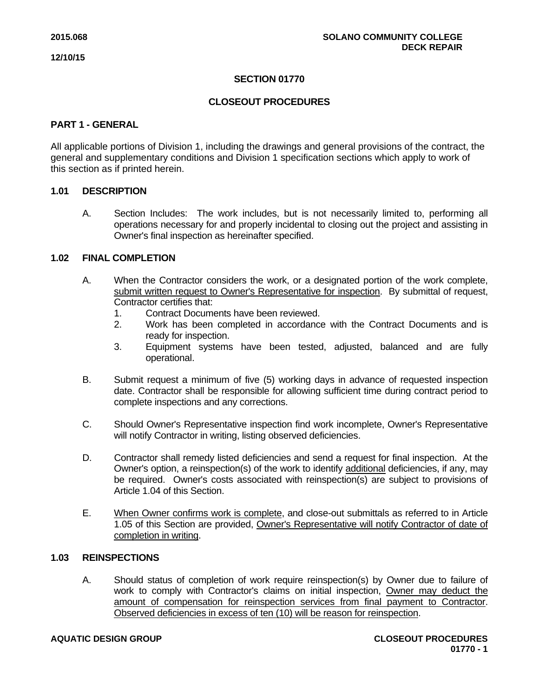# **SECTION 01770**

# **CLOSEOUT PROCEDURES**

### **PART 1 - GENERAL**

All applicable portions of Division 1, including the drawings and general provisions of the contract, the general and supplementary conditions and Division 1 specification sections which apply to work of this section as if printed herein.

# **1.01 DESCRIPTION**

A. Section Includes: The work includes, but is not necessarily limited to, performing all operations necessary for and properly incidental to closing out the project and assisting in Owner's final inspection as hereinafter specified.

# **1.02 FINAL COMPLETION**

- A. When the Contractor considers the work, or a designated portion of the work complete, submit written request to Owner's Representative for inspection. By submittal of request, Contractor certifies that:
	- 1. Contract Documents have been reviewed.
	- 2. Work has been completed in accordance with the Contract Documents and is ready for inspection.
	- 3. Equipment systems have been tested, adjusted, balanced and are fully operational.
- B. Submit request a minimum of five (5) working days in advance of requested inspection date. Contractor shall be responsible for allowing sufficient time during contract period to complete inspections and any corrections.
- C. Should Owner's Representative inspection find work incomplete, Owner's Representative will notify Contractor in writing, listing observed deficiencies.
- D. Contractor shall remedy listed deficiencies and send a request for final inspection. At the Owner's option, a reinspection(s) of the work to identify additional deficiencies, if any, may be required. Owner's costs associated with reinspection(s) are subject to provisions of Article 1.04 of this Section.
- E. When Owner confirms work is complete, and close-out submittals as referred to in Article 1.05 of this Section are provided, Owner's Representative will notify Contractor of date of completion in writing.

# **1.03 REINSPECTIONS**

A. Should status of completion of work require reinspection(s) by Owner due to failure of work to comply with Contractor's claims on initial inspection, Owner may deduct the amount of compensation for reinspection services from final payment to Contractor. Observed deficiencies in excess of ten (10) will be reason for reinspection.

#### **AQUATIC DESIGN GROUP CLOSEOUT PROCEDURES**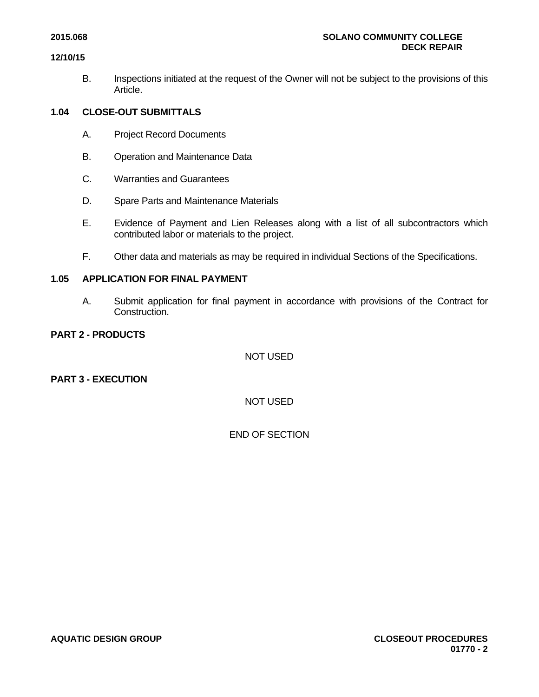B. Inspections initiated at the request of the Owner will not be subject to the provisions of this Article.

# **1.04 CLOSE-OUT SUBMITTALS**

- A. Project Record Documents
- B. Operation and Maintenance Data
- C. Warranties and Guarantees
- D. Spare Parts and Maintenance Materials
- E. Evidence of Payment and Lien Releases along with a list of all subcontractors which contributed labor or materials to the project.
- F. Other data and materials as may be required in individual Sections of the Specifications.

#### **1.05 APPLICATION FOR FINAL PAYMENT**

A. Submit application for final payment in accordance with provisions of the Contract for Construction.

# **PART 2 - PRODUCTS**

NOT USED

**PART 3 - EXECUTION** 

NOT USED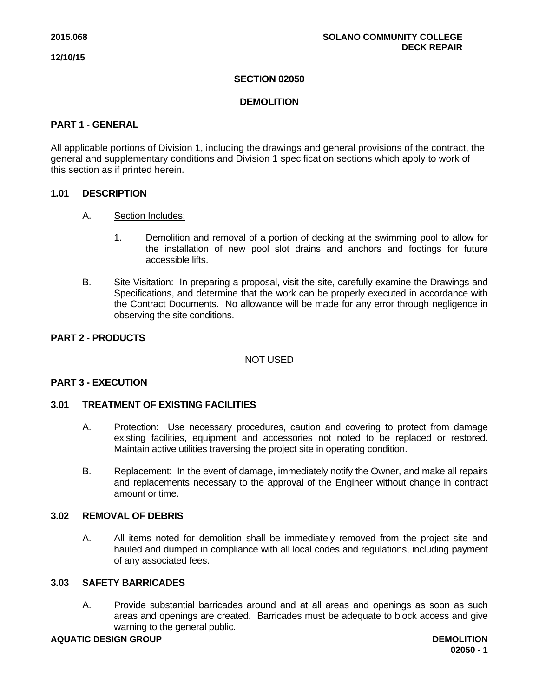# **SECTION 02050**

# **DEMOLITION**

### **PART 1 - GENERAL**

All applicable portions of Division 1, including the drawings and general provisions of the contract, the general and supplementary conditions and Division 1 specification sections which apply to work of this section as if printed herein.

# **1.01 DESCRIPTION**

- A. Section Includes:
	- 1. Demolition and removal of a portion of decking at the swimming pool to allow for the installation of new pool slot drains and anchors and footings for future accessible lifts.
- B. Site Visitation: In preparing a proposal, visit the site, carefully examine the Drawings and Specifications, and determine that the work can be properly executed in accordance with the Contract Documents. No allowance will be made for any error through negligence in observing the site conditions.

# **PART 2 - PRODUCTS**

NOT USED

### **PART 3 - EXECUTION**

#### **3.01 TREATMENT OF EXISTING FACILITIES**

- A. Protection: Use necessary procedures, caution and covering to protect from damage existing facilities, equipment and accessories not noted to be replaced or restored. Maintain active utilities traversing the project site in operating condition.
- B. Replacement: In the event of damage, immediately notify the Owner, and make all repairs and replacements necessary to the approval of the Engineer without change in contract amount or time.

# **3.02 REMOVAL OF DEBRIS**

A. All items noted for demolition shall be immediately removed from the project site and hauled and dumped in compliance with all local codes and regulations, including payment of any associated fees.

# **3.03 SAFETY BARRICADES**

A. Provide substantial barricades around and at all areas and openings as soon as such areas and openings are created. Barricades must be adequate to block access and give warning to the general public.

# **AQUATIC DESIGN GROUP DEMOLITION**

**02050 - 1**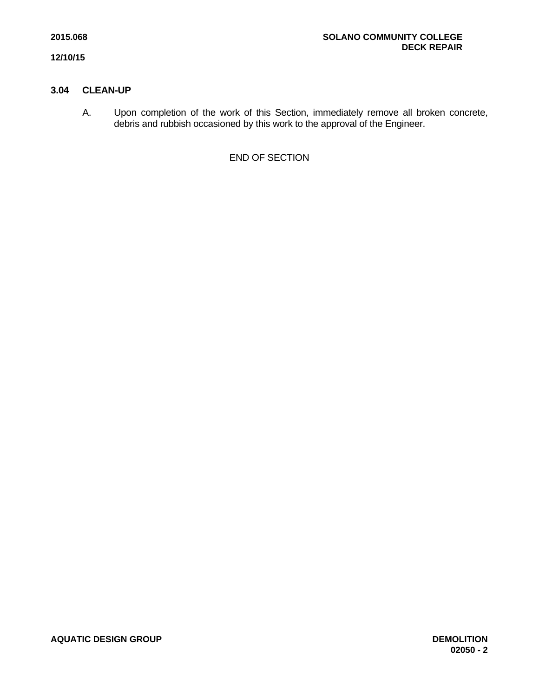# **3.04 CLEAN-UP**

A. Upon completion of the work of this Section, immediately remove all broken concrete, debris and rubbish occasioned by this work to the approval of the Engineer.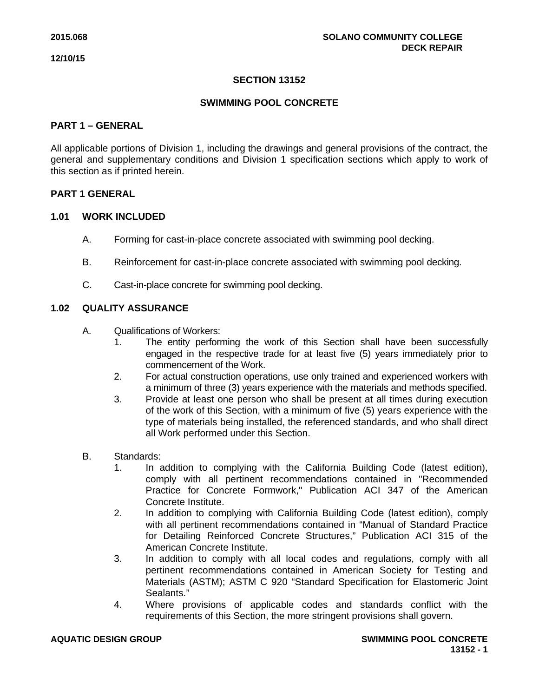# **SECTION 13152**

# **SWIMMING POOL CONCRETE**

# **PART 1 – GENERAL**

All applicable portions of Division 1, including the drawings and general provisions of the contract, the general and supplementary conditions and Division 1 specification sections which apply to work of this section as if printed herein.

# **PART 1 GENERAL**

#### **1.01 WORK INCLUDED**

- A. Forming for cast-in-place concrete associated with swimming pool decking.
- B. Reinforcement for cast-in-place concrete associated with swimming pool decking.
- C. Cast-in-place concrete for swimming pool decking.

# **1.02 QUALITY ASSURANCE**

- A. Qualifications of Workers:
	- 1. The entity performing the work of this Section shall have been successfully engaged in the respective trade for at least five (5) years immediately prior to commencement of the Work.
	- 2. For actual construction operations, use only trained and experienced workers with a minimum of three (3) years experience with the materials and methods specified.
	- 3. Provide at least one person who shall be present at all times during execution of the work of this Section, with a minimum of five (5) years experience with the type of materials being installed, the referenced standards, and who shall direct all Work performed under this Section.
- B. Standards:
	- 1. In addition to complying with the California Building Code (latest edition), comply with all pertinent recommendations contained in "Recommended Practice for Concrete Formwork," Publication ACI 347 of the American Concrete Institute.
	- 2. In addition to complying with California Building Code (latest edition), comply with all pertinent recommendations contained in "Manual of Standard Practice for Detailing Reinforced Concrete Structures," Publication ACI 315 of the American Concrete Institute.
	- 3. In addition to comply with all local codes and regulations, comply with all pertinent recommendations contained in American Society for Testing and Materials (ASTM); ASTM C 920 "Standard Specification for Elastomeric Joint Sealants."
	- 4. Where provisions of applicable codes and standards conflict with the requirements of this Section, the more stringent provisions shall govern.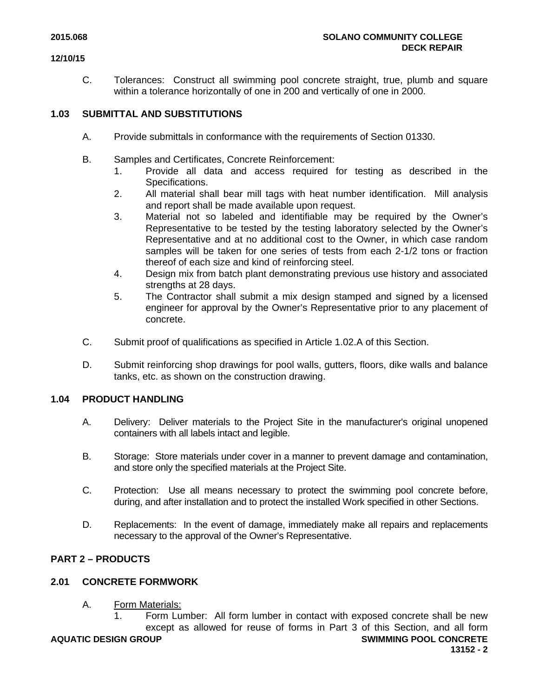C. Tolerances: Construct all swimming pool concrete straight, true, plumb and square within a tolerance horizontally of one in 200 and vertically of one in 2000.

# **1.03 SUBMITTAL AND SUBSTITUTIONS**

- A. Provide submittals in conformance with the requirements of Section 01330.
- B. Samples and Certificates, Concrete Reinforcement:
	- 1. Provide all data and access required for testing as described in the Specifications.
	- 2. All material shall bear mill tags with heat number identification. Mill analysis and report shall be made available upon request.
	- 3. Material not so labeled and identifiable may be required by the Owner's Representative to be tested by the testing laboratory selected by the Owner's Representative and at no additional cost to the Owner, in which case random samples will be taken for one series of tests from each 2-1/2 tons or fraction thereof of each size and kind of reinforcing steel.
	- 4. Design mix from batch plant demonstrating previous use history and associated strengths at 28 days.
	- 5. The Contractor shall submit a mix design stamped and signed by a licensed engineer for approval by the Owner's Representative prior to any placement of concrete.
- C. Submit proof of qualifications as specified in Article 1.02.A of this Section.
- D. Submit reinforcing shop drawings for pool walls, gutters, floors, dike walls and balance tanks, etc. as shown on the construction drawing.

# **1.04 PRODUCT HANDLING**

- A. Delivery: Deliver materials to the Project Site in the manufacturer's original unopened containers with all labels intact and legible.
- B. Storage: Store materials under cover in a manner to prevent damage and contamination, and store only the specified materials at the Project Site.
- C. Protection: Use all means necessary to protect the swimming pool concrete before, during, and after installation and to protect the installed Work specified in other Sections.
- D. Replacements: In the event of damage, immediately make all repairs and replacements necessary to the approval of the Owner's Representative.

# **PART 2 – PRODUCTS**

# **2.01 CONCRETE FORMWORK**

A. Form Materials:

**AQUATIC DESIGN GROUP SWIMMING POOL CONCRETE** 1. Form Lumber: All form lumber in contact with exposed concrete shall be new except as allowed for reuse of forms in Part 3 of this Section, and all form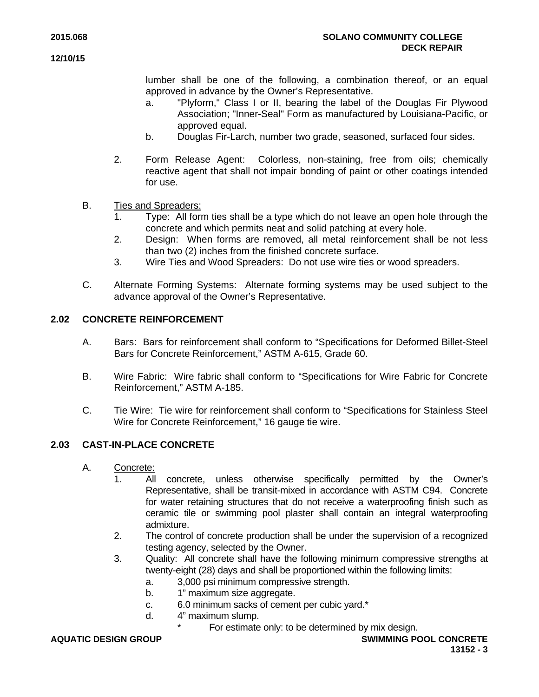lumber shall be one of the following, a combination thereof, or an equal approved in advance by the Owner's Representative.

- a. "Plyform," Class I or II, bearing the label of the Douglas Fir Plywood Association; "Inner-Seal" Form as manufactured by Louisiana-Pacific, or approved equal.
- b. Douglas Fir-Larch, number two grade, seasoned, surfaced four sides.
- 2. Form Release Agent: Colorless, non-staining, free from oils; chemically reactive agent that shall not impair bonding of paint or other coatings intended for use.
- B. Ties and Spreaders:
	- 1. Type: All form ties shall be a type which do not leave an open hole through the concrete and which permits neat and solid patching at every hole.
	- 2. Design: When forms are removed, all metal reinforcement shall be not less than two (2) inches from the finished concrete surface.
	- 3. Wire Ties and Wood Spreaders: Do not use wire ties or wood spreaders.
- C. Alternate Forming Systems: Alternate forming systems may be used subject to the advance approval of the Owner's Representative.

# **2.02 CONCRETE REINFORCEMENT**

- A. Bars: Bars for reinforcement shall conform to "Specifications for Deformed Billet-Steel Bars for Concrete Reinforcement," ASTM A-615, Grade 60.
- B. Wire Fabric: Wire fabric shall conform to "Specifications for Wire Fabric for Concrete Reinforcement," ASTM A-185.
- C. Tie Wire: Tie wire for reinforcement shall conform to "Specifications for Stainless Steel Wire for Concrete Reinforcement," 16 gauge tie wire.

# **2.03 CAST-IN-PLACE CONCRETE**

- A. Concrete:
	- 1. All concrete, unless otherwise specifically permitted by the Owner's Representative, shall be transit-mixed in accordance with ASTM C94. Concrete for water retaining structures that do not receive a waterproofing finish such as ceramic tile or swimming pool plaster shall contain an integral waterproofing admixture.
	- 2. The control of concrete production shall be under the supervision of a recognized testing agency, selected by the Owner.
	- 3. Quality: All concrete shall have the following minimum compressive strengths at twenty-eight (28) days and shall be proportioned within the following limits:
		- a. 3,000 psi minimum compressive strength.
		- b. 1" maximum size aggregate.
		- c. 6.0 minimum sacks of cement per cubic yard.\*
		- d. 4" maximum slump.
			- For estimate only: to be determined by mix design.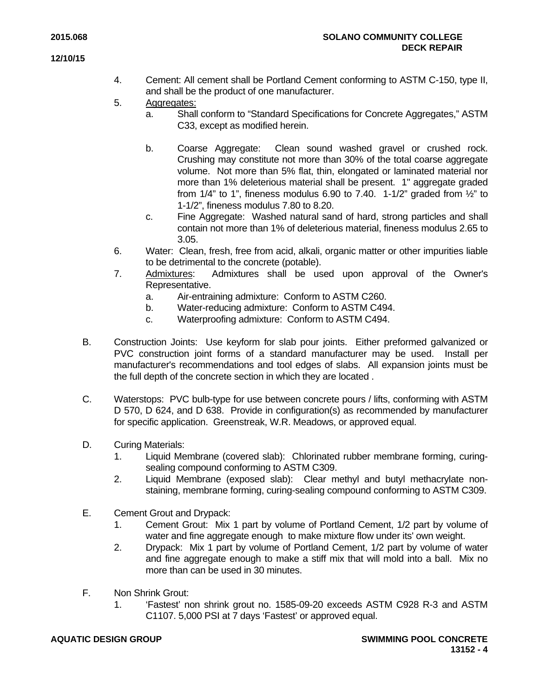- 4. Cement: All cement shall be Portland Cement conforming to ASTM C-150, type II, and shall be the product of one manufacturer.
- 5. Aggregates:
	- a. Shall conform to "Standard Specifications for Concrete Aggregates," ASTM C33, except as modified herein.
	- b. Coarse Aggregate: Clean sound washed gravel or crushed rock. Crushing may constitute not more than 30% of the total coarse aggregate volume. Not more than 5% flat, thin, elongated or laminated material nor more than 1% deleterious material shall be present. 1" aggregate graded from  $1/4$ " to 1", fineness modulus 6.90 to 7.40. 1-1/2" graded from  $\frac{1}{2}$ " to 1-1/2", fineness modulus 7.80 to 8.20.
	- c. Fine Aggregate: Washed natural sand of hard, strong particles and shall contain not more than 1% of deleterious material, fineness modulus 2.65 to 3.05.
- 6. Water: Clean, fresh, free from acid, alkali, organic matter or other impurities liable to be detrimental to the concrete (potable).
- 7. Admixtures: Admixtures shall be used upon approval of the Owner's Representative.
	- a. Air-entraining admixture: Conform to ASTM C260.
	- b. Water-reducing admixture: Conform to ASTM C494.
	- c. Waterproofing admixture: Conform to ASTM C494.
- B. Construction Joints: Use keyform for slab pour joints. Either preformed galvanized or PVC construction joint forms of a standard manufacturer may be used. Install per manufacturer's recommendations and tool edges of slabs. All expansion joints must be the full depth of the concrete section in which they are located .
- C. Waterstops: PVC bulb-type for use between concrete pours / lifts, conforming with ASTM D 570, D 624, and D 638. Provide in configuration(s) as recommended by manufacturer for specific application. Greenstreak, W.R. Meadows, or approved equal.
- D. Curing Materials:
	- 1. Liquid Membrane (covered slab): Chlorinated rubber membrane forming, curingsealing compound conforming to ASTM C309.
	- 2. Liquid Membrane (exposed slab): Clear methyl and butyl methacrylate nonstaining, membrane forming, curing-sealing compound conforming to ASTM C309.
- E. Cement Grout and Drypack:
	- 1. Cement Grout: Mix 1 part by volume of Portland Cement, 1/2 part by volume of water and fine aggregate enough to make mixture flow under its' own weight.
	- 2. Drypack: Mix 1 part by volume of Portland Cement, 1/2 part by volume of water and fine aggregate enough to make a stiff mix that will mold into a ball. Mix no more than can be used in 30 minutes.
- F. Non Shrink Grout:
	- 1. 'Fastest' non shrink grout no. 1585-09-20 exceeds ASTM C928 R-3 and ASTM C1107. 5,000 PSI at 7 days 'Fastest' or approved equal.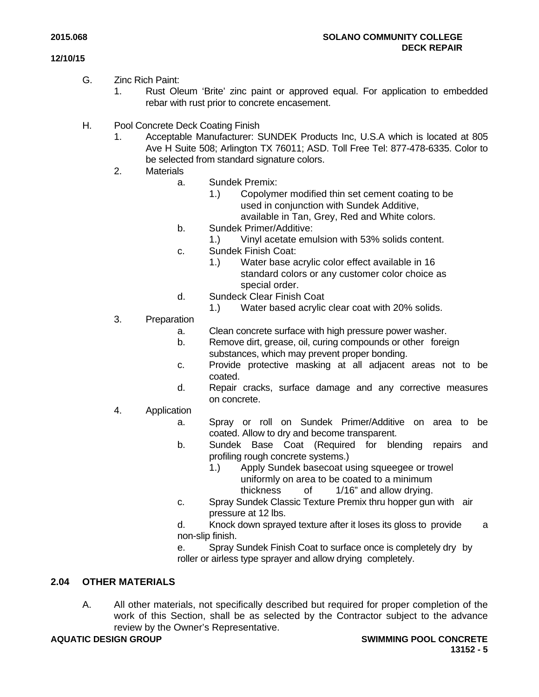- G. Zinc Rich Paint:
	- 1. Rust Oleum 'Brite' zinc paint or approved equal. For application to embedded rebar with rust prior to concrete encasement.
- H. Pool Concrete Deck Coating Finish
	- 1. Acceptable Manufacturer: SUNDEK Products Inc, U.S.A which is located at 805 Ave H Suite 508; Arlington TX 76011; ASD. Toll Free Tel: 877-478-6335. Color to be selected from standard signature colors.
	- 2. Materials
		- a. Sundek Premix:
			- 1.) Copolymer modified thin set cement coating to be used in conjunction with Sundek Additive, available in Tan, Grey, Red and White colors.
		- b. Sundek Primer/Additive:
			- 1.) Vinyl acetate emulsion with 53% solids content.
		- c. Sundek Finish Coat:
			- 1.) Water base acrylic color effect available in 16 standard colors or any customer color choice as special order.
		- d. Sundeck Clear Finish Coat
			- 1.) Water based acrylic clear coat with 20% solids.
	- 3. Preparation
		- a. Clean concrete surface with high pressure power washer.
		- b. Remove dirt, grease, oil, curing compounds or other foreign substances, which may prevent proper bonding.
		- c. Provide protective masking at all adjacent areas not to be coated.
		- d. Repair cracks, surface damage and any corrective measures on concrete.
	- 4. Application
		- a. Spray or roll on Sundek Primer/Additive on area to be coated. Allow to dry and become transparent.
		- b. Sundek Base Coat (Required for blending repairs and profiling rough concrete systems.)
			- 1.) Apply Sundek basecoat using squeegee or trowel uniformly on area to be coated to a minimum thickness of 1/16" and allow drying.
		- c. Spray Sundek Classic Texture Premix thru hopper gun with air pressure at 12 lbs.
		- d. Knock down sprayed texture after it loses its gloss to provide a non-slip finish.
		- e. Spray Sundek Finish Coat to surface once is completely dry by roller or airless type sprayer and allow drying completely.

# **2.04 OTHER MATERIALS**

A. All other materials, not specifically described but required for proper completion of the work of this Section, shall be as selected by the Contractor subject to the advance review by the Owner's Representative.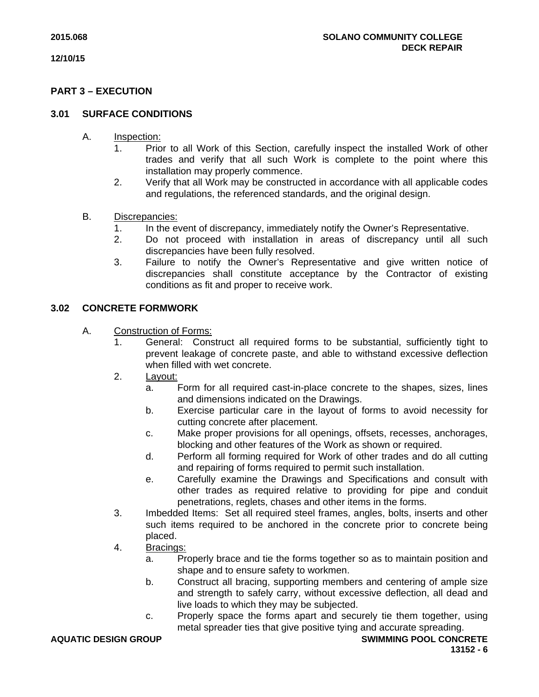# **PART 3 – EXECUTION**

# **3.01 SURFACE CONDITIONS**

- A. Inspection:
	- 1. Prior to all Work of this Section, carefully inspect the installed Work of other trades and verify that all such Work is complete to the point where this installation may properly commence.
	- 2. Verify that all Work may be constructed in accordance with all applicable codes and regulations, the referenced standards, and the original design.

# B. Discrepancies:

- 1. In the event of discrepancy, immediately notify the Owner's Representative.
- 2. Do not proceed with installation in areas of discrepancy until all such discrepancies have been fully resolved.
- 3. Failure to notify the Owner's Representative and give written notice of discrepancies shall constitute acceptance by the Contractor of existing conditions as fit and proper to receive work.

# **3.02 CONCRETE FORMWORK**

- A. Construction of Forms:
	- 1. General: Construct all required forms to be substantial, sufficiently tight to prevent leakage of concrete paste, and able to withstand excessive deflection when filled with wet concrete.
	- 2. Layout:
		- a. Form for all required cast-in-place concrete to the shapes, sizes, lines and dimensions indicated on the Drawings.
		- b. Exercise particular care in the layout of forms to avoid necessity for cutting concrete after placement.
		- c. Make proper provisions for all openings, offsets, recesses, anchorages, blocking and other features of the Work as shown or required.
		- d. Perform all forming required for Work of other trades and do all cutting and repairing of forms required to permit such installation.
		- e. Carefully examine the Drawings and Specifications and consult with other trades as required relative to providing for pipe and conduit penetrations, reglets, chases and other items in the forms.
	- 3. Imbedded Items: Set all required steel frames, angles, bolts, inserts and other such items required to be anchored in the concrete prior to concrete being placed.
	- 4. Bracings:
		- a. Properly brace and tie the forms together so as to maintain position and shape and to ensure safety to workmen.
		- b. Construct all bracing, supporting members and centering of ample size and strength to safely carry, without excessive deflection, all dead and live loads to which they may be subjected.
		- c. Properly space the forms apart and securely tie them together, using metal spreader ties that give positive tying and accurate spreading.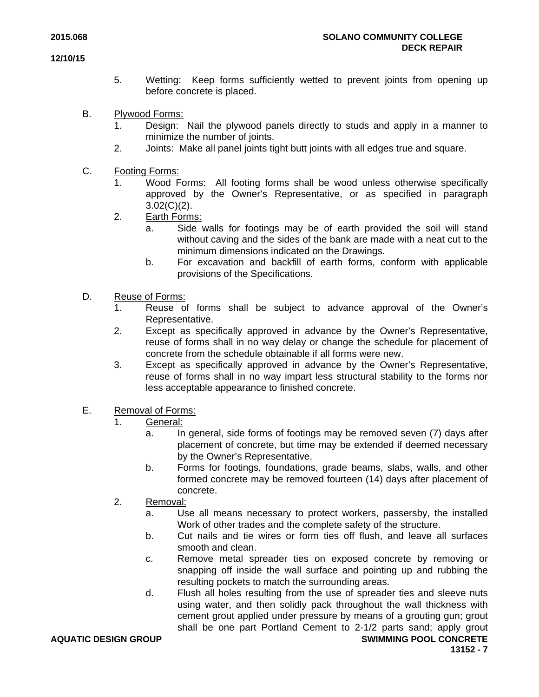- 5. Wetting: Keep forms sufficiently wetted to prevent joints from opening up before concrete is placed.
- B. Plywood Forms:
	- 1. Design: Nail the plywood panels directly to studs and apply in a manner to minimize the number of joints.
	- 2. Joints: Make all panel joints tight butt joints with all edges true and square.
- C. Footing Forms:
	- 1. Wood Forms: All footing forms shall be wood unless otherwise specifically approved by the Owner's Representative, or as specified in paragraph  $3.02(C)(2)$ .
	- 2. Earth Forms:
		- a. Side walls for footings may be of earth provided the soil will stand without caving and the sides of the bank are made with a neat cut to the minimum dimensions indicated on the Drawings.
		- b. For excavation and backfill of earth forms, conform with applicable provisions of the Specifications.
- D. Reuse of Forms:
	- 1. Reuse of forms shall be subject to advance approval of the Owner's Representative.
	- 2. Except as specifically approved in advance by the Owner's Representative, reuse of forms shall in no way delay or change the schedule for placement of concrete from the schedule obtainable if all forms were new.
	- 3. Except as specifically approved in advance by the Owner's Representative, reuse of forms shall in no way impart less structural stability to the forms nor less acceptable appearance to finished concrete.
- E. Removal of Forms:
	- 1. General:
		- a. In general, side forms of footings may be removed seven (7) days after placement of concrete, but time may be extended if deemed necessary by the Owner's Representative.
		- b. Forms for footings, foundations, grade beams, slabs, walls, and other formed concrete may be removed fourteen (14) days after placement of concrete.
	- 2. Removal:
		- a. Use all means necessary to protect workers, passersby, the installed Work of other trades and the complete safety of the structure.
		- b. Cut nails and tie wires or form ties off flush, and leave all surfaces smooth and clean.
		- c. Remove metal spreader ties on exposed concrete by removing or snapping off inside the wall surface and pointing up and rubbing the resulting pockets to match the surrounding areas.
		- d. Flush all holes resulting from the use of spreader ties and sleeve nuts using water, and then solidly pack throughout the wall thickness with cement grout applied under pressure by means of a grouting gun; grout shall be one part Portland Cement to 2-1/2 parts sand; apply grout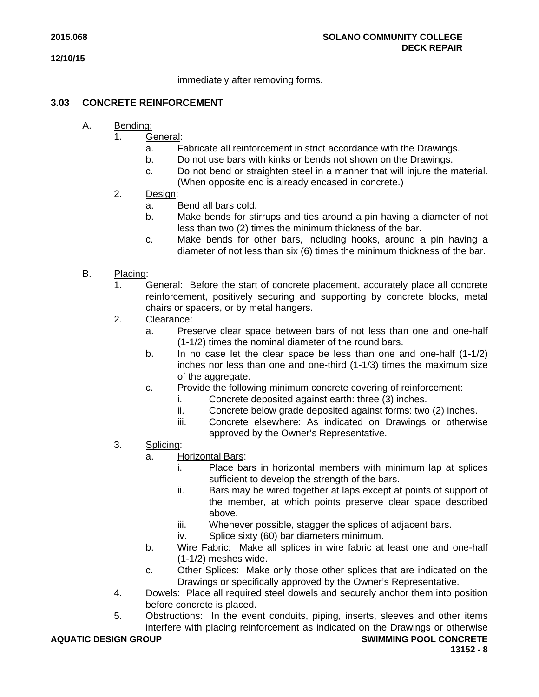immediately after removing forms.

# **3.03 CONCRETE REINFORCEMENT**

- A. Bending:
	- 1. General:
		- a. Fabricate all reinforcement in strict accordance with the Drawings.
		- b. Do not use bars with kinks or bends not shown on the Drawings.
		- c. Do not bend or straighten steel in a manner that will injure the material. (When opposite end is already encased in concrete.)
	- 2. Design:
		- a. Bend all bars cold.
		- b. Make bends for stirrups and ties around a pin having a diameter of not less than two (2) times the minimum thickness of the bar.
		- c. Make bends for other bars, including hooks, around a pin having a diameter of not less than six (6) times the minimum thickness of the bar.
- B. Placing:
	- 1. General: Before the start of concrete placement, accurately place all concrete reinforcement, positively securing and supporting by concrete blocks, metal chairs or spacers, or by metal hangers.
	- 2. Clearance:
		- a. Preserve clear space between bars of not less than one and one-half (1-1/2) times the nominal diameter of the round bars.
		- b. In no case let the clear space be less than one and one-half (1-1/2) inches nor less than one and one-third (1-1/3) times the maximum size of the aggregate.
		- c. Provide the following minimum concrete covering of reinforcement:
			- i. Concrete deposited against earth: three (3) inches.
			- ii. Concrete below grade deposited against forms: two (2) inches.
			- iii. Concrete elsewhere: As indicated on Drawings or otherwise approved by the Owner's Representative.
	- 3. Splicing:
		- a. Horizontal Bars:
			- i. Place bars in horizontal members with minimum lap at splices sufficient to develop the strength of the bars.
			- ii. Bars may be wired together at laps except at points of support of the member, at which points preserve clear space described above.
			- iii. Whenever possible, stagger the splices of adjacent bars.
			- iv. Splice sixty (60) bar diameters minimum.
		- b. Wire Fabric: Make all splices in wire fabric at least one and one-half (1-1/2) meshes wide.
		- c. Other Splices: Make only those other splices that are indicated on the Drawings or specifically approved by the Owner's Representative.
	- 4. Dowels: Place all required steel dowels and securely anchor them into position before concrete is placed.
	- 5. Obstructions: In the event conduits, piping, inserts, sleeves and other items interfere with placing reinforcement as indicated on the Drawings or otherwise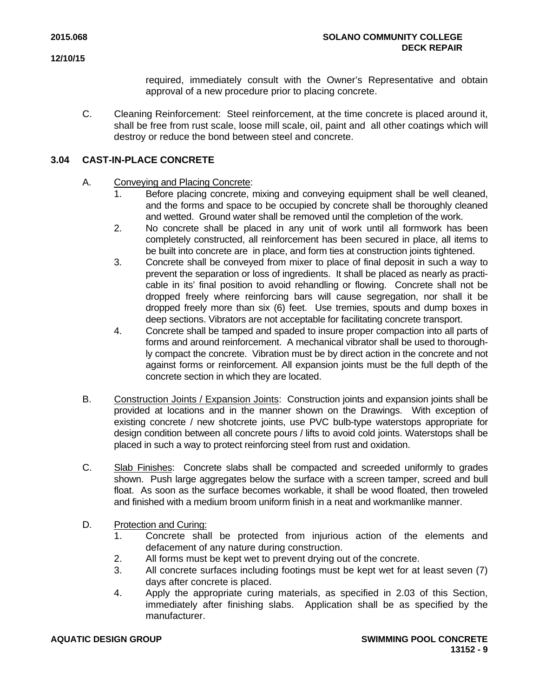required, immediately consult with the Owner's Representative and obtain approval of a new procedure prior to placing concrete.

C. Cleaning Reinforcement: Steel reinforcement, at the time concrete is placed around it, shall be free from rust scale, loose mill scale, oil, paint and all other coatings which will destroy or reduce the bond between steel and concrete.

# **3.04 CAST-IN-PLACE CONCRETE**

# A. Conveying and Placing Concrete:

- 1. Before placing concrete, mixing and conveying equipment shall be well cleaned, and the forms and space to be occupied by concrete shall be thoroughly cleaned and wetted. Ground water shall be removed until the completion of the work.
- 2. No concrete shall be placed in any unit of work until all formwork has been completely constructed, all reinforcement has been secured in place, all items to be built into concrete are in place, and form ties at construction joints tightened.
- 3. Concrete shall be conveyed from mixer to place of final deposit in such a way to prevent the separation or loss of ingredients. It shall be placed as nearly as practicable in its' final position to avoid rehandling or flowing. Concrete shall not be dropped freely where reinforcing bars will cause segregation, nor shall it be dropped freely more than six (6) feet. Use tremies, spouts and dump boxes in deep sections. Vibrators are not acceptable for facilitating concrete transport.
- 4. Concrete shall be tamped and spaded to insure proper compaction into all parts of forms and around reinforcement. A mechanical vibrator shall be used to thoroughly compact the concrete. Vibration must be by direct action in the concrete and not against forms or reinforcement. All expansion joints must be the full depth of the concrete section in which they are located.
- B. Construction Joints / Expansion Joints: Construction joints and expansion joints shall be provided at locations and in the manner shown on the Drawings. With exception of existing concrete / new shotcrete joints, use PVC bulb-type waterstops appropriate for design condition between all concrete pours / lifts to avoid cold joints. Waterstops shall be placed in such a way to protect reinforcing steel from rust and oxidation.
- C. Slab Finishes: Concrete slabs shall be compacted and screeded uniformly to grades shown. Push large aggregates below the surface with a screen tamper, screed and bull float. As soon as the surface becomes workable, it shall be wood floated, then troweled and finished with a medium broom uniform finish in a neat and workmanlike manner.
- D. Protection and Curing:
	- 1. Concrete shall be protected from injurious action of the elements and defacement of any nature during construction.
	- 2. All forms must be kept wet to prevent drying out of the concrete.
	- 3. All concrete surfaces including footings must be kept wet for at least seven (7) days after concrete is placed.
	- 4. Apply the appropriate curing materials, as specified in 2.03 of this Section, immediately after finishing slabs. Application shall be as specified by the manufacturer.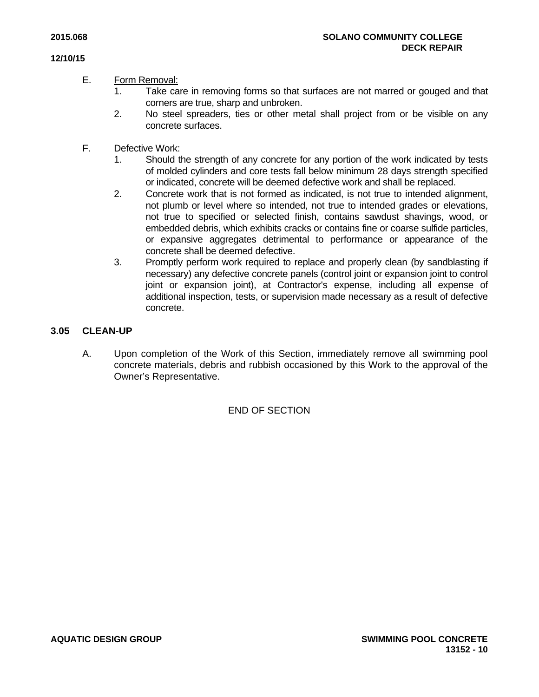# E. Form Removal:

- 1. Take care in removing forms so that surfaces are not marred or gouged and that corners are true, sharp and unbroken.
- 2. No steel spreaders, ties or other metal shall project from or be visible on any concrete surfaces.
- F. Defective Work:
	- 1. Should the strength of any concrete for any portion of the work indicated by tests of molded cylinders and core tests fall below minimum 28 days strength specified or indicated, concrete will be deemed defective work and shall be replaced.
	- 2. Concrete work that is not formed as indicated, is not true to intended alignment, not plumb or level where so intended, not true to intended grades or elevations, not true to specified or selected finish, contains sawdust shavings, wood, or embedded debris, which exhibits cracks or contains fine or coarse sulfide particles, or expansive aggregates detrimental to performance or appearance of the concrete shall be deemed defective.
	- 3. Promptly perform work required to replace and properly clean (by sandblasting if necessary) any defective concrete panels (control joint or expansion joint to control joint or expansion joint), at Contractor's expense, including all expense of additional inspection, tests, or supervision made necessary as a result of defective concrete.

# **3.05 CLEAN-UP**

A. Upon completion of the Work of this Section, immediately remove all swimming pool concrete materials, debris and rubbish occasioned by this Work to the approval of the Owner's Representative.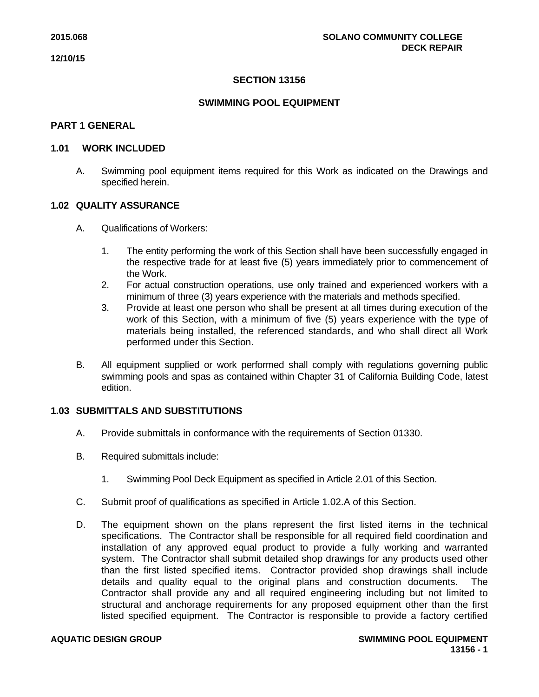# **SECTION 13156**

# **SWIMMING POOL EQUIPMENT**

# **PART 1 GENERAL**

#### **1.01 WORK INCLUDED**

A. Swimming pool equipment items required for this Work as indicated on the Drawings and specified herein.

# **1.02 QUALITY ASSURANCE**

- A. Qualifications of Workers:
	- 1. The entity performing the work of this Section shall have been successfully engaged in the respective trade for at least five (5) years immediately prior to commencement of the Work.
	- 2. For actual construction operations, use only trained and experienced workers with a minimum of three (3) years experience with the materials and methods specified.
	- 3. Provide at least one person who shall be present at all times during execution of the work of this Section, with a minimum of five (5) years experience with the type of materials being installed, the referenced standards, and who shall direct all Work performed under this Section.
- B. All equipment supplied or work performed shall comply with regulations governing public swimming pools and spas as contained within Chapter 31 of California Building Code, latest edition.

# **1.03 SUBMITTALS AND SUBSTITUTIONS**

- A. Provide submittals in conformance with the requirements of Section 01330.
- B. Required submittals include:
	- 1. Swimming Pool Deck Equipment as specified in Article 2.01 of this Section.
- C. Submit proof of qualifications as specified in Article 1.02.A of this Section.
- D. The equipment shown on the plans represent the first listed items in the technical specifications. The Contractor shall be responsible for all required field coordination and installation of any approved equal product to provide a fully working and warranted system. The Contractor shall submit detailed shop drawings for any products used other than the first listed specified items. Contractor provided shop drawings shall include details and quality equal to the original plans and construction documents. The Contractor shall provide any and all required engineering including but not limited to structural and anchorage requirements for any proposed equipment other than the first listed specified equipment. The Contractor is responsible to provide a factory certified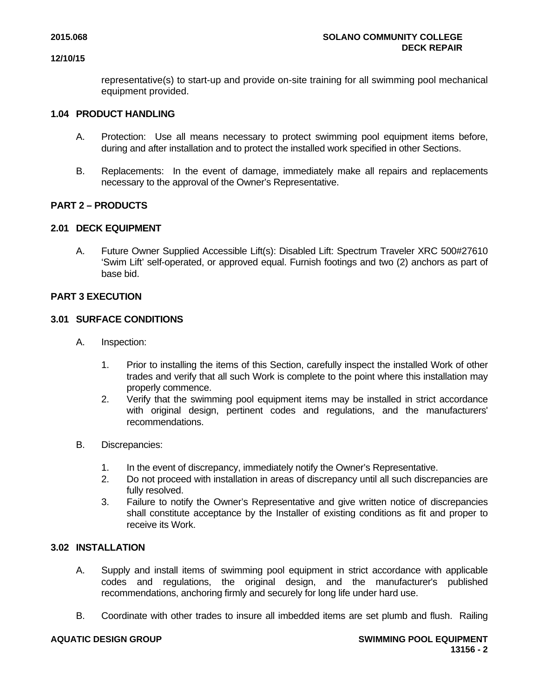representative(s) to start-up and provide on-site training for all swimming pool mechanical equipment provided.

# **1.04 PRODUCT HANDLING**

- A. Protection: Use all means necessary to protect swimming pool equipment items before, during and after installation and to protect the installed work specified in other Sections.
- B. Replacements: In the event of damage, immediately make all repairs and replacements necessary to the approval of the Owner's Representative.

# **PART 2 – PRODUCTS**

# **2.01 DECK EQUIPMENT**

A. Future Owner Supplied Accessible Lift(s): Disabled Lift: Spectrum Traveler XRC 500#27610 'Swim Lift' self-operated, or approved equal. Furnish footings and two (2) anchors as part of base bid.

# **PART 3 EXECUTION**

# **3.01 SURFACE CONDITIONS**

- A. Inspection:
	- 1. Prior to installing the items of this Section, carefully inspect the installed Work of other trades and verify that all such Work is complete to the point where this installation may properly commence.
	- 2. Verify that the swimming pool equipment items may be installed in strict accordance with original design, pertinent codes and regulations, and the manufacturers' recommendations.
- B. Discrepancies:
	- 1. In the event of discrepancy, immediately notify the Owner's Representative.
	- 2. Do not proceed with installation in areas of discrepancy until all such discrepancies are fully resolved.
	- 3. Failure to notify the Owner's Representative and give written notice of discrepancies shall constitute acceptance by the Installer of existing conditions as fit and proper to receive its Work.

# **3.02 INSTALLATION**

- A. Supply and install items of swimming pool equipment in strict accordance with applicable codes and regulations, the original design, and the manufacturer's published recommendations, anchoring firmly and securely for long life under hard use.
- B. Coordinate with other trades to insure all imbedded items are set plumb and flush. Railing